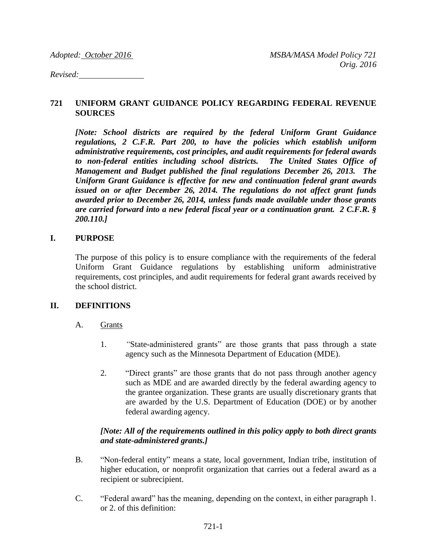*Revised:* 

#### **721 UNIFORM GRANT GUIDANCE POLICY REGARDING FEDERAL REVENUE SOURCES**

*[Note: School districts are required by the federal Uniform Grant Guidance regulations, 2 C.F.R. Part 200, to have the policies which establish uniform administrative requirements, cost principles, and audit requirements for federal awards to non-federal entities including school districts. The United States Office of Management and Budget published the final regulations December 26, 2013. The Uniform Grant Guidance is effective for new and continuation federal grant awards issued on or after December 26, 2014. The regulations do not affect grant funds awarded prior to December 26, 2014, unless funds made available under those grants are carried forward into a new federal fiscal year or a continuation grant. 2 C.F.R. § 200.110.]*

#### **I. PURPOSE**

The purpose of this policy is to ensure compliance with the requirements of the federal Uniform Grant Guidance regulations by establishing uniform administrative requirements, cost principles, and audit requirements for federal grant awards received by the school district.

#### **II. DEFINITIONS**

#### A. Grants

- 1. *"*State-administered grants" are those grants that pass through a state agency such as the Minnesota Department of Education (MDE).
- 2. "Direct grants" are those grants that do not pass through another agency such as MDE and are awarded directly by the federal awarding agency to the grantee organization. These grants are usually discretionary grants that are awarded by the U.S. Department of Education (DOE) or by another federal awarding agency.

## *[Note: All of the requirements outlined in this policy apply to both direct grants and state-administered grants.]*

- B. "Non-federal entity" means a state, local government, Indian tribe, institution of higher education, or nonprofit organization that carries out a federal award as a recipient or subrecipient.
- C. "Federal award" has the meaning, depending on the context, in either paragraph 1. or 2. of this definition: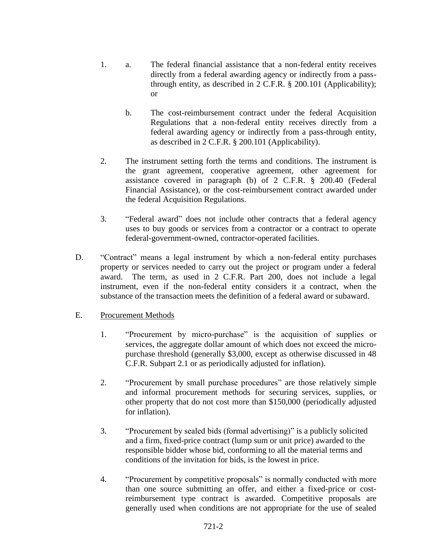- 1. a. The federal financial assistance that a non-federal entity receives directly from a federal awarding agency or indirectly from a passthrough entity, as described in 2 C.F.R. § 200.101 (Applicability); or
	- b. The cost-reimbursement contract under the federal Acquisition Regulations that a non-federal entity receives directly from a federal awarding agency or indirectly from a pass-through entity, as described in 2 C.F.R. § 200.101 (Applicability).
- 2. The instrument setting forth the terms and conditions. The instrument is the grant agreement, cooperative agreement, other agreement for assistance covered in paragraph (b) of 2 C.F.R. § 200.40 (Federal Financial Assistance), or the cost-reimbursement contract awarded under the federal Acquisition Regulations.
- 3. "Federal award" does not include other contracts that a federal agency uses to buy goods or services from a contractor or a contract to operate federal-government-owned, contractor-operated facilities.
- D. "Contract" means a legal instrument by which a non-federal entity purchases property or services needed to carry out the project or program under a federal award. The term, as used in 2 C.F.R. Part 200, does not include a legal instrument, even if the non-federal entity considers it a contract, when the substance of the transaction meets the definition of a federal award or subaward.

## E. Procurement Methods

- 1. "Procurement by micro-purchase" is the acquisition of supplies or services, the aggregate dollar amount of which does not exceed the micropurchase threshold (generally \$3,000, except as otherwise discussed in 48 C.F.R. Subpart 2.1 or as periodically adjusted for inflation).
- 2. "Procurement by small purchase procedures" are those relatively simple and informal procurement methods for securing services, supplies, or other property that do not cost more than \$150,000 (periodically adjusted for inflation).
- 3. "Procurement by sealed bids (formal advertising)" is a publicly solicited and a firm, fixed-price contract (lump sum or unit price) awarded to the responsible bidder whose bid, conforming to all the material terms and conditions of the invitation for bids, is the lowest in price.
- 4. "Procurement by competitive proposals" is normally conducted with more than one source submitting an offer, and either a fixed-price or costreimbursement type contract is awarded. Competitive proposals are generally used when conditions are not appropriate for the use of sealed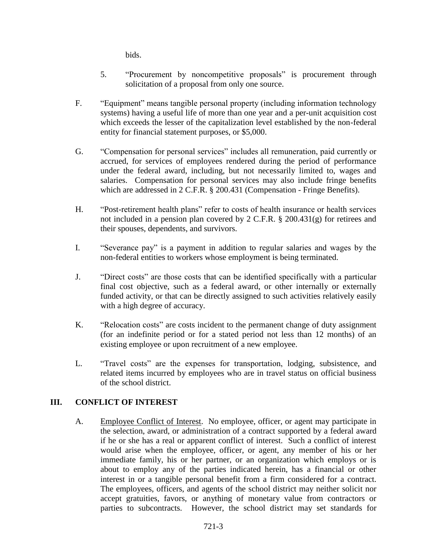bids.

- 5. "Procurement by noncompetitive proposals" is procurement through solicitation of a proposal from only one source.
- F. "Equipment" means tangible personal property (including information technology systems) having a useful life of more than one year and a per-unit acquisition cost which exceeds the lesser of the capitalization level established by the non-federal entity for financial statement purposes, or \$5,000.
- G. "Compensation for personal services" includes all remuneration, paid currently or accrued, for services of employees rendered during the period of performance under the federal award, including, but not necessarily limited to, wages and salaries. Compensation for personal services may also include fringe benefits which are addressed in 2 C.F.R. § 200.431 (Compensation - Fringe Benefits).
- H. "Post-retirement health plans" refer to costs of health insurance or health services not included in a pension plan covered by 2 C.F.R. § 200.431(g) for retirees and their spouses, dependents, and survivors.
- I. "Severance pay" is a payment in addition to regular salaries and wages by the non-federal entities to workers whose employment is being terminated.
- J. "Direct costs" are those costs that can be identified specifically with a particular final cost objective, such as a federal award, or other internally or externally funded activity, or that can be directly assigned to such activities relatively easily with a high degree of accuracy.
- K. "Relocation costs" are costs incident to the permanent change of duty assignment (for an indefinite period or for a stated period not less than 12 months) of an existing employee or upon recruitment of a new employee.
- L. "Travel costs" are the expenses for transportation, lodging, subsistence, and related items incurred by employees who are in travel status on official business of the school district.

# **III. CONFLICT OF INTEREST**

A. Employee Conflict of Interest. No employee, officer, or agent may participate in the selection, award, or administration of a contract supported by a federal award if he or she has a real or apparent conflict of interest. Such a conflict of interest would arise when the employee, officer, or agent, any member of his or her immediate family, his or her partner, or an organization which employs or is about to employ any of the parties indicated herein, has a financial or other interest in or a tangible personal benefit from a firm considered for a contract. The employees, officers, and agents of the school district may neither solicit nor accept gratuities, favors, or anything of monetary value from contractors or parties to subcontracts. However, the school district may set standards for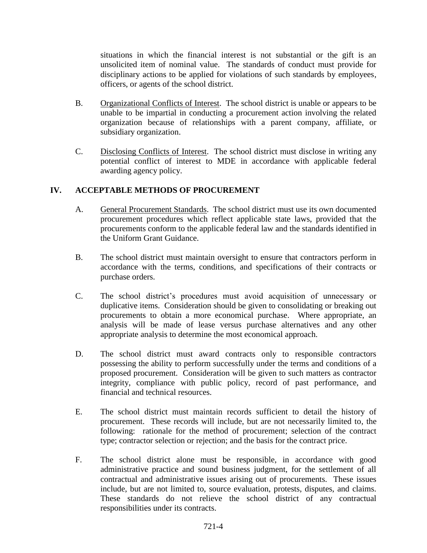situations in which the financial interest is not substantial or the gift is an unsolicited item of nominal value. The standards of conduct must provide for disciplinary actions to be applied for violations of such standards by employees, officers, or agents of the school district.

- B. Organizational Conflicts of Interest. The school district is unable or appears to be unable to be impartial in conducting a procurement action involving the related organization because of relationships with a parent company, affiliate, or subsidiary organization.
- C. Disclosing Conflicts of Interest. The school district must disclose in writing any potential conflict of interest to MDE in accordance with applicable federal awarding agency policy.

## **IV. ACCEPTABLE METHODS OF PROCUREMENT**

- A. General Procurement Standards. The school district must use its own documented procurement procedures which reflect applicable state laws, provided that the procurements conform to the applicable federal law and the standards identified in the Uniform Grant Guidance.
- B. The school district must maintain oversight to ensure that contractors perform in accordance with the terms, conditions, and specifications of their contracts or purchase orders.
- C. The school district's procedures must avoid acquisition of unnecessary or duplicative items. Consideration should be given to consolidating or breaking out procurements to obtain a more economical purchase. Where appropriate, an analysis will be made of lease versus purchase alternatives and any other appropriate analysis to determine the most economical approach.
- D. The school district must award contracts only to responsible contractors possessing the ability to perform successfully under the terms and conditions of a proposed procurement. Consideration will be given to such matters as contractor integrity, compliance with public policy, record of past performance, and financial and technical resources.
- E. The school district must maintain records sufficient to detail the history of procurement. These records will include, but are not necessarily limited to, the following: rationale for the method of procurement; selection of the contract type; contractor selection or rejection; and the basis for the contract price.
- F. The school district alone must be responsible, in accordance with good administrative practice and sound business judgment, for the settlement of all contractual and administrative issues arising out of procurements. These issues include, but are not limited to, source evaluation, protests, disputes, and claims. These standards do not relieve the school district of any contractual responsibilities under its contracts.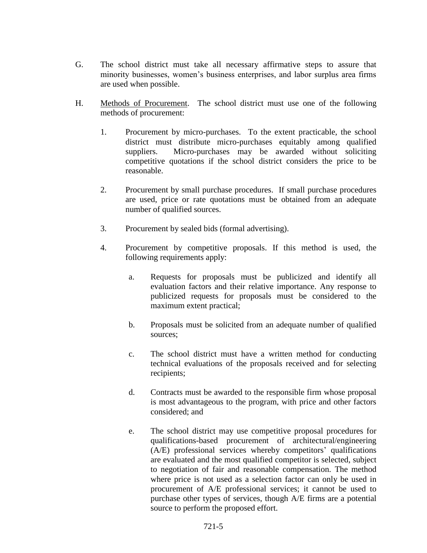- G. The school district must take all necessary affirmative steps to assure that minority businesses, women's business enterprises, and labor surplus area firms are used when possible.
- H. Methods of Procurement. The school district must use one of the following methods of procurement:
	- 1. Procurement by micro-purchases. To the extent practicable, the school district must distribute micro-purchases equitably among qualified suppliers. Micro-purchases may be awarded without soliciting competitive quotations if the school district considers the price to be reasonable.
	- 2. Procurement by small purchase procedures. If small purchase procedures are used, price or rate quotations must be obtained from an adequate number of qualified sources.
	- 3. Procurement by sealed bids (formal advertising).
	- 4. Procurement by competitive proposals. If this method is used, the following requirements apply:
		- a. Requests for proposals must be publicized and identify all evaluation factors and their relative importance. Any response to publicized requests for proposals must be considered to the maximum extent practical;
		- b. Proposals must be solicited from an adequate number of qualified sources;
		- c. The school district must have a written method for conducting technical evaluations of the proposals received and for selecting recipients;
		- d. Contracts must be awarded to the responsible firm whose proposal is most advantageous to the program, with price and other factors considered; and
		- e. The school district may use competitive proposal procedures for qualifications-based procurement of architectural/engineering (A/E) professional services whereby competitors' qualifications are evaluated and the most qualified competitor is selected, subject to negotiation of fair and reasonable compensation. The method where price is not used as a selection factor can only be used in procurement of A/E professional services; it cannot be used to purchase other types of services, though A/E firms are a potential source to perform the proposed effort.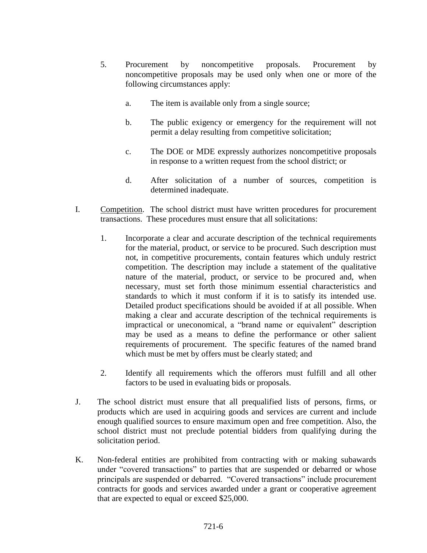- 5. Procurement by noncompetitive proposals. Procurement by noncompetitive proposals may be used only when one or more of the following circumstances apply:
	- a. The item is available only from a single source;
	- b. The public exigency or emergency for the requirement will not permit a delay resulting from competitive solicitation;
	- c. The DOE or MDE expressly authorizes noncompetitive proposals in response to a written request from the school district; or
	- d. After solicitation of a number of sources, competition is determined inadequate.
- I. Competition. The school district must have written procedures for procurement transactions. These procedures must ensure that all solicitations:
	- 1. Incorporate a clear and accurate description of the technical requirements for the material, product, or service to be procured. Such description must not, in competitive procurements, contain features which unduly restrict competition. The description may include a statement of the qualitative nature of the material, product, or service to be procured and, when necessary, must set forth those minimum essential characteristics and standards to which it must conform if it is to satisfy its intended use. Detailed product specifications should be avoided if at all possible. When making a clear and accurate description of the technical requirements is impractical or uneconomical, a "brand name or equivalent" description may be used as a means to define the performance or other salient requirements of procurement. The specific features of the named brand which must be met by offers must be clearly stated; and
	- 2. Identify all requirements which the offerors must fulfill and all other factors to be used in evaluating bids or proposals.
- J. The school district must ensure that all prequalified lists of persons, firms, or products which are used in acquiring goods and services are current and include enough qualified sources to ensure maximum open and free competition. Also, the school district must not preclude potential bidders from qualifying during the solicitation period.
- K. Non-federal entities are prohibited from contracting with or making subawards under "covered transactions" to parties that are suspended or debarred or whose principals are suspended or debarred. "Covered transactions" include procurement contracts for goods and services awarded under a grant or cooperative agreement that are expected to equal or exceed \$25,000.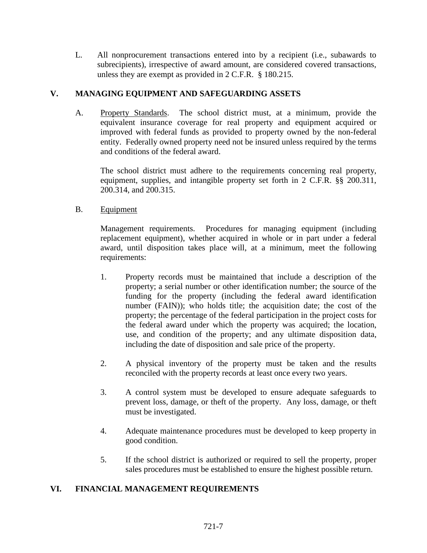L. All nonprocurement transactions entered into by a recipient (i.e., subawards to subrecipients), irrespective of award amount, are considered covered transactions, unless they are exempt as provided in 2 C.F.R. § 180.215.

## **V. MANAGING EQUIPMENT AND SAFEGUARDING ASSETS**

A. Property Standards. The school district must, at a minimum, provide the equivalent insurance coverage for real property and equipment acquired or improved with federal funds as provided to property owned by the non-federal entity. Federally owned property need not be insured unless required by the terms and conditions of the federal award.

The school district must adhere to the requirements concerning real property, equipment, supplies, and intangible property set forth in 2 C.F.R. §§ 200.311, 200.314, and 200.315.

B. Equipment

Management requirements. Procedures for managing equipment (including replacement equipment), whether acquired in whole or in part under a federal award, until disposition takes place will, at a minimum, meet the following requirements:

- 1. Property records must be maintained that include a description of the property; a serial number or other identification number; the source of the funding for the property (including the federal award identification number (FAIN)); who holds title; the acquisition date; the cost of the property; the percentage of the federal participation in the project costs for the federal award under which the property was acquired; the location, use, and condition of the property; and any ultimate disposition data, including the date of disposition and sale price of the property.
- 2. A physical inventory of the property must be taken and the results reconciled with the property records at least once every two years.
- 3. A control system must be developed to ensure adequate safeguards to prevent loss, damage, or theft of the property. Any loss, damage, or theft must be investigated.
- 4. Adequate maintenance procedures must be developed to keep property in good condition.
- 5. If the school district is authorized or required to sell the property, proper sales procedures must be established to ensure the highest possible return.

## **VI. FINANCIAL MANAGEMENT REQUIREMENTS**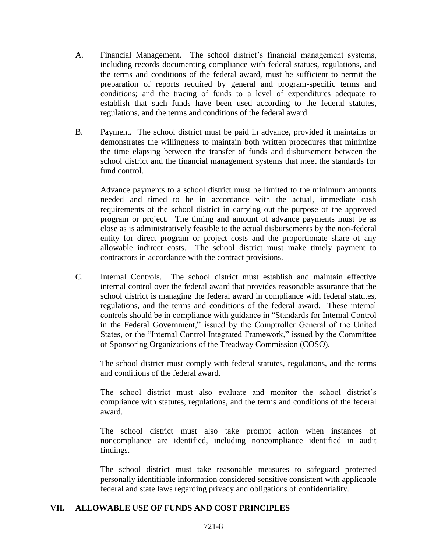- A. Financial Management. The school district's financial management systems, including records documenting compliance with federal statues, regulations, and the terms and conditions of the federal award, must be sufficient to permit the preparation of reports required by general and program-specific terms and conditions; and the tracing of funds to a level of expenditures adequate to establish that such funds have been used according to the federal statutes, regulations, and the terms and conditions of the federal award.
- B. Payment. The school district must be paid in advance, provided it maintains or demonstrates the willingness to maintain both written procedures that minimize the time elapsing between the transfer of funds and disbursement between the school district and the financial management systems that meet the standards for fund control.

Advance payments to a school district must be limited to the minimum amounts needed and timed to be in accordance with the actual, immediate cash requirements of the school district in carrying out the purpose of the approved program or project. The timing and amount of advance payments must be as close as is administratively feasible to the actual disbursements by the non-federal entity for direct program or project costs and the proportionate share of any allowable indirect costs. The school district must make timely payment to contractors in accordance with the contract provisions.

C. Internal Controls. The school district must establish and maintain effective internal control over the federal award that provides reasonable assurance that the school district is managing the federal award in compliance with federal statutes, regulations, and the terms and conditions of the federal award. These internal controls should be in compliance with guidance in "Standards for Internal Control in the Federal Government," issued by the Comptroller General of the United States, or the "Internal Control Integrated Framework," issued by the Committee of Sponsoring Organizations of the Treadway Commission (COSO).

The school district must comply with federal statutes, regulations, and the terms and conditions of the federal award.

The school district must also evaluate and monitor the school district's compliance with statutes, regulations, and the terms and conditions of the federal award.

The school district must also take prompt action when instances of noncompliance are identified, including noncompliance identified in audit findings.

The school district must take reasonable measures to safeguard protected personally identifiable information considered sensitive consistent with applicable federal and state laws regarding privacy and obligations of confidentiality.

### **VII. ALLOWABLE USE OF FUNDS AND COST PRINCIPLES**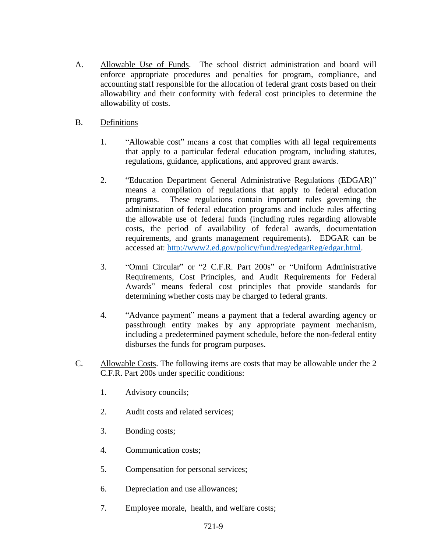- A. Allowable Use of Funds. The school district administration and board will enforce appropriate procedures and penalties for program, compliance, and accounting staff responsible for the allocation of federal grant costs based on their allowability and their conformity with federal cost principles to determine the allowability of costs.
- B. Definitions
	- 1. "Allowable cost" means a cost that complies with all legal requirements that apply to a particular federal education program, including statutes, regulations, guidance, applications, and approved grant awards.
	- 2. "Education Department General Administrative Regulations (EDGAR)" means a compilation of regulations that apply to federal education programs. These regulations contain important rules governing the administration of federal education programs and include rules affecting the allowable use of federal funds (including rules regarding allowable costs, the period of availability of federal awards, documentation requirements, and grants management requirements). EDGAR can be accessed at: [http://www2.ed.gov/policy/fund/reg/edgarReg/edgar.html.](http://www2.ed.gov/policy/fund/reg/edgarReg/edgar.html)
	- 3. "Omni Circular" or "2 C.F.R. Part 200s" or "Uniform Administrative Requirements, Cost Principles, and Audit Requirements for Federal Awards" means federal cost principles that provide standards for determining whether costs may be charged to federal grants.
	- 4. "Advance payment" means a payment that a federal awarding agency or passthrough entity makes by any appropriate payment mechanism, including a predetermined payment schedule, before the non-federal entity disburses the funds for program purposes.
- C. Allowable Costs. The following items are costs that may be allowable under the 2 C.F.R. Part 200s under specific conditions:
	- 1. Advisory councils;
	- 2. Audit costs and related services;
	- 3. Bonding costs;
	- 4. Communication costs;
	- 5. Compensation for personal services;
	- 6. Depreciation and use allowances;
	- 7. Employee morale, health, and welfare costs;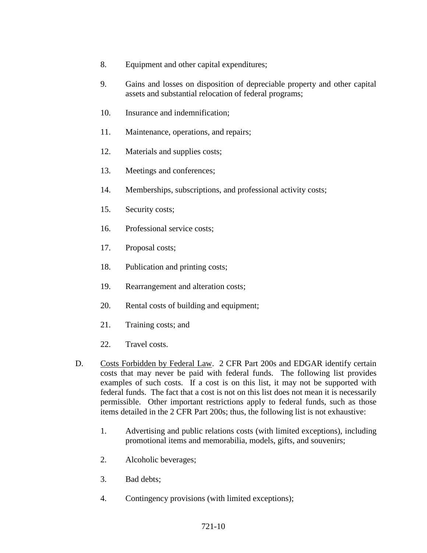- 8. Equipment and other capital expenditures;
- 9. Gains and losses on disposition of depreciable property and other capital assets and substantial relocation of federal programs;
- 10. Insurance and indemnification;
- 11. Maintenance, operations, and repairs;
- 12. Materials and supplies costs;
- 13. Meetings and conferences;
- 14. Memberships, subscriptions, and professional activity costs;
- 15. Security costs;
- 16. Professional service costs;
- 17. Proposal costs;
- 18. Publication and printing costs;
- 19. Rearrangement and alteration costs;
- 20. Rental costs of building and equipment;
- 21. Training costs; and
- 22. Travel costs.
- D. Costs Forbidden by Federal Law. 2 CFR Part 200s and EDGAR identify certain costs that may never be paid with federal funds. The following list provides examples of such costs. If a cost is on this list, it may not be supported with federal funds. The fact that a cost is not on this list does not mean it is necessarily permissible. Other important restrictions apply to federal funds, such as those items detailed in the 2 CFR Part 200s; thus, the following list is not exhaustive:
	- 1. Advertising and public relations costs (with limited exceptions), including promotional items and memorabilia, models, gifts, and souvenirs;
	- 2. Alcoholic beverages;
	- 3. Bad debts;
	- 4. Contingency provisions (with limited exceptions);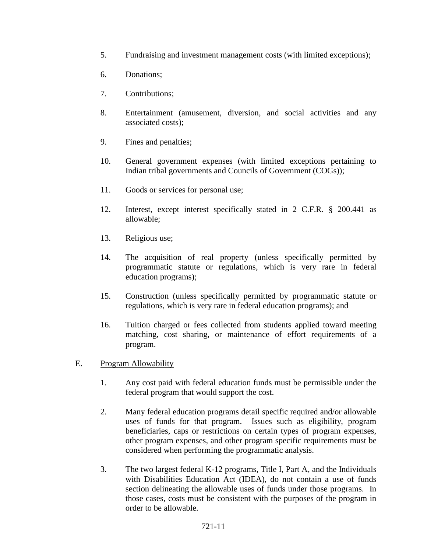- 5. Fundraising and investment management costs (with limited exceptions);
- 6. Donations;
- 7. Contributions;
- 8. Entertainment (amusement, diversion, and social activities and any associated costs);
- 9. Fines and penalties;
- 10. General government expenses (with limited exceptions pertaining to Indian tribal governments and Councils of Government (COGs));
- 11. Goods or services for personal use;
- 12. Interest, except interest specifically stated in 2 C.F.R. § 200.441 as allowable;
- 13. Religious use;
- 14. The acquisition of real property (unless specifically permitted by programmatic statute or regulations, which is very rare in federal education programs);
- 15. Construction (unless specifically permitted by programmatic statute or regulations, which is very rare in federal education programs); and
- 16. Tuition charged or fees collected from students applied toward meeting matching, cost sharing, or maintenance of effort requirements of a program.
- E. Program Allowability
	- 1. Any cost paid with federal education funds must be permissible under the federal program that would support the cost.
	- 2. Many federal education programs detail specific required and/or allowable uses of funds for that program. Issues such as eligibility, program beneficiaries, caps or restrictions on certain types of program expenses, other program expenses, and other program specific requirements must be considered when performing the programmatic analysis.
	- 3. The two largest federal K-12 programs, Title I, Part A, and the Individuals with Disabilities Education Act (IDEA), do not contain a use of funds section delineating the allowable uses of funds under those programs. In those cases, costs must be consistent with the purposes of the program in order to be allowable.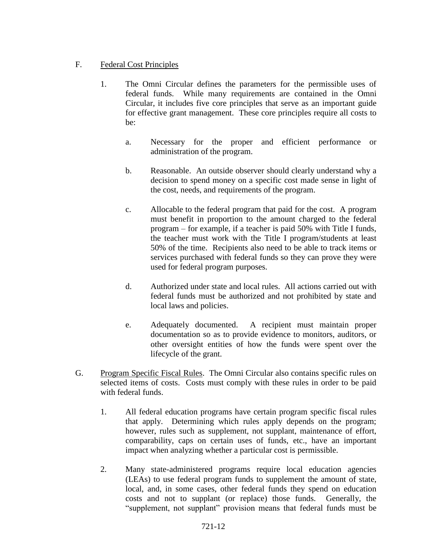## F. Federal Cost Principles

- 1. The Omni Circular defines the parameters for the permissible uses of federal funds. While many requirements are contained in the Omni Circular, it includes five core principles that serve as an important guide for effective grant management. These core principles require all costs to be:
	- a. Necessary for the proper and efficient performance or administration of the program.
	- b. Reasonable. An outside observer should clearly understand why a decision to spend money on a specific cost made sense in light of the cost, needs, and requirements of the program.
	- c. Allocable to the federal program that paid for the cost. A program must benefit in proportion to the amount charged to the federal program – for example, if a teacher is paid 50% with Title I funds, the teacher must work with the Title I program/students at least 50% of the time. Recipients also need to be able to track items or services purchased with federal funds so they can prove they were used for federal program purposes.
	- d. Authorized under state and local rules. All actions carried out with federal funds must be authorized and not prohibited by state and local laws and policies.
	- e. Adequately documented. A recipient must maintain proper documentation so as to provide evidence to monitors, auditors, or other oversight entities of how the funds were spent over the lifecycle of the grant.
- G. Program Specific Fiscal Rules. The Omni Circular also contains specific rules on selected items of costs. Costs must comply with these rules in order to be paid with federal funds.
	- 1. All federal education programs have certain program specific fiscal rules that apply. Determining which rules apply depends on the program; however, rules such as supplement, not supplant, maintenance of effort, comparability, caps on certain uses of funds, etc., have an important impact when analyzing whether a particular cost is permissible.
	- 2. Many state-administered programs require local education agencies (LEAs) to use federal program funds to supplement the amount of state, local, and, in some cases, other federal funds they spend on education costs and not to supplant (or replace) those funds. Generally, the "supplement, not supplant" provision means that federal funds must be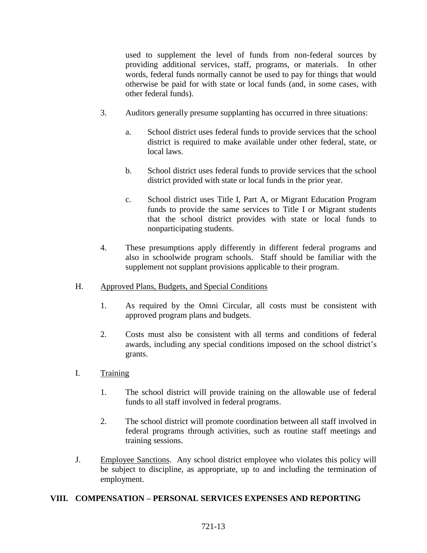used to supplement the level of funds from non-federal sources by providing additional services, staff, programs, or materials. In other words, federal funds normally cannot be used to pay for things that would otherwise be paid for with state or local funds (and, in some cases, with other federal funds).

- 3. Auditors generally presume supplanting has occurred in three situations:
	- a. School district uses federal funds to provide services that the school district is required to make available under other federal, state, or local laws.
	- b. School district uses federal funds to provide services that the school district provided with state or local funds in the prior year.
	- c. School district uses Title I, Part A, or Migrant Education Program funds to provide the same services to Title I or Migrant students that the school district provides with state or local funds to nonparticipating students.
- 4. These presumptions apply differently in different federal programs and also in schoolwide program schools. Staff should be familiar with the supplement not supplant provisions applicable to their program.
- H. Approved Plans, Budgets, and Special Conditions
	- 1. As required by the Omni Circular, all costs must be consistent with approved program plans and budgets.
	- 2. Costs must also be consistent with all terms and conditions of federal awards, including any special conditions imposed on the school district's grants.
- I. Training
	- 1. The school district will provide training on the allowable use of federal funds to all staff involved in federal programs.
	- 2. The school district will promote coordination between all staff involved in federal programs through activities, such as routine staff meetings and training sessions.
- J. Employee Sanctions. Any school district employee who violates this policy will be subject to discipline, as appropriate, up to and including the termination of employment.

## **VIII. COMPENSATION – PERSONAL SERVICES EXPENSES AND REPORTING**

#### 721-13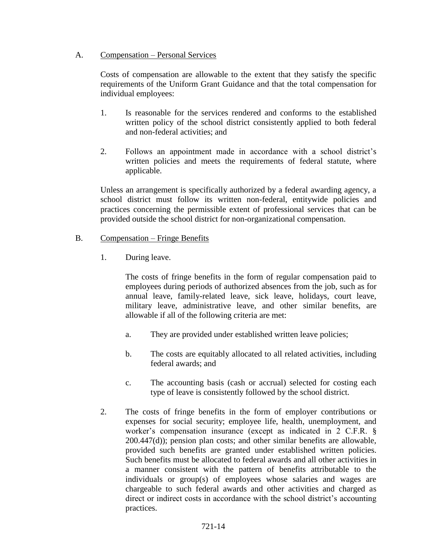### A. Compensation – Personal Services

Costs of compensation are allowable to the extent that they satisfy the specific requirements of the Uniform Grant Guidance and that the total compensation for individual employees:

- 1. Is reasonable for the services rendered and conforms to the established written policy of the school district consistently applied to both federal and non-federal activities; and
- 2. Follows an appointment made in accordance with a school district's written policies and meets the requirements of federal statute, where applicable.

Unless an arrangement is specifically authorized by a federal awarding agency, a school district must follow its written non-federal, entitywide policies and practices concerning the permissible extent of professional services that can be provided outside the school district for non-organizational compensation.

### B. Compensation – Fringe Benefits

1. During leave.

The costs of fringe benefits in the form of regular compensation paid to employees during periods of authorized absences from the job, such as for annual leave, family-related leave, sick leave, holidays, court leave, military leave, administrative leave, and other similar benefits, are allowable if all of the following criteria are met:

- a. They are provided under established written leave policies;
- b. The costs are equitably allocated to all related activities, including federal awards; and
- c. The accounting basis (cash or accrual) selected for costing each type of leave is consistently followed by the school district.
- 2. The costs of fringe benefits in the form of employer contributions or expenses for social security; employee life, health, unemployment, and worker's compensation insurance (except as indicated in 2 C.F.R. § 200.447(d)); pension plan costs; and other similar benefits are allowable, provided such benefits are granted under established written policies. Such benefits must be allocated to federal awards and all other activities in a manner consistent with the pattern of benefits attributable to the individuals or group(s) of employees whose salaries and wages are chargeable to such federal awards and other activities and charged as direct or indirect costs in accordance with the school district's accounting practices.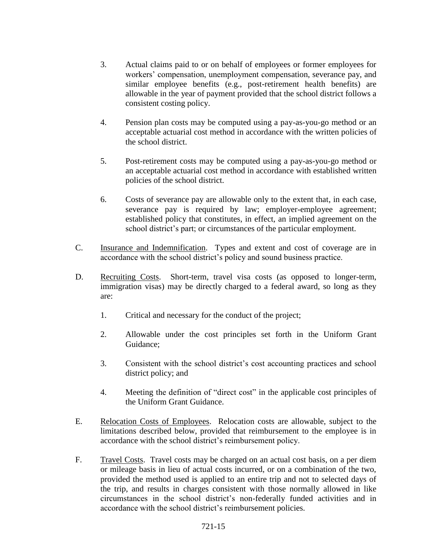- 3. Actual claims paid to or on behalf of employees or former employees for workers' compensation, unemployment compensation, severance pay, and similar employee benefits (e.g., post-retirement health benefits) are allowable in the year of payment provided that the school district follows a consistent costing policy.
- 4. Pension plan costs may be computed using a pay-as-you-go method or an acceptable actuarial cost method in accordance with the written policies of the school district.
- 5. Post-retirement costs may be computed using a pay-as-you-go method or an acceptable actuarial cost method in accordance with established written policies of the school district.
- 6. Costs of severance pay are allowable only to the extent that, in each case, severance pay is required by law; employer-employee agreement; established policy that constitutes, in effect, an implied agreement on the school district's part; or circumstances of the particular employment.
- C. Insurance and Indemnification. Types and extent and cost of coverage are in accordance with the school district's policy and sound business practice.
- D. Recruiting Costs. Short-term, travel visa costs (as opposed to longer-term, immigration visas) may be directly charged to a federal award, so long as they are:
	- 1. Critical and necessary for the conduct of the project;
	- 2. Allowable under the cost principles set forth in the Uniform Grant Guidance;
	- 3. Consistent with the school district's cost accounting practices and school district policy; and
	- 4. Meeting the definition of "direct cost" in the applicable cost principles of the Uniform Grant Guidance.
- E. Relocation Costs of Employees. Relocation costs are allowable, subject to the limitations described below, provided that reimbursement to the employee is in accordance with the school district's reimbursement policy.
- F. Travel Costs. Travel costs may be charged on an actual cost basis, on a per diem or mileage basis in lieu of actual costs incurred, or on a combination of the two, provided the method used is applied to an entire trip and not to selected days of the trip, and results in charges consistent with those normally allowed in like circumstances in the school district's non-federally funded activities and in accordance with the school district's reimbursement policies.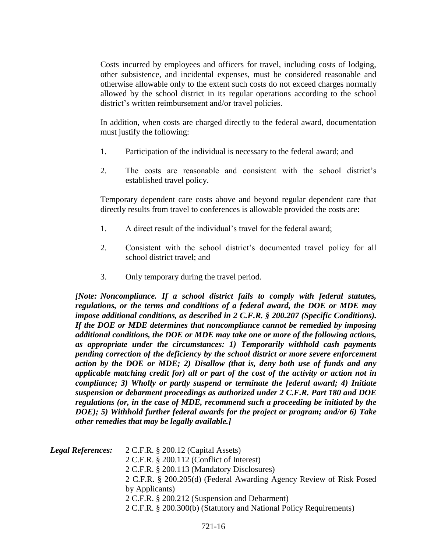Costs incurred by employees and officers for travel, including costs of lodging, other subsistence, and incidental expenses, must be considered reasonable and otherwise allowable only to the extent such costs do not exceed charges normally allowed by the school district in its regular operations according to the school district's written reimbursement and/or travel policies.

In addition, when costs are charged directly to the federal award, documentation must justify the following:

- 1. Participation of the individual is necessary to the federal award; and
- 2. The costs are reasonable and consistent with the school district's established travel policy.

Temporary dependent care costs above and beyond regular dependent care that directly results from travel to conferences is allowable provided the costs are:

- 1. A direct result of the individual's travel for the federal award;
- 2. Consistent with the school district's documented travel policy for all school district travel; and
- 3. Only temporary during the travel period.

*[Note: Noncompliance. If a school district fails to comply with federal statutes, regulations, or the terms and conditions of a federal award, the DOE or MDE may impose additional conditions, as described in 2 C.F.R. § 200.207 (Specific Conditions). If the DOE or MDE determines that noncompliance cannot be remedied by imposing additional conditions, the DOE or MDE may take one or more of the following actions, as appropriate under the circumstances: 1) Temporarily withhold cash payments pending correction of the deficiency by the school district or more severe enforcement action by the DOE or MDE; 2) Disallow (that is, deny both use of funds and any applicable matching credit for) all or part of the cost of the activity or action not in compliance; 3) Wholly or partly suspend or terminate the federal award; 4) Initiate suspension or debarment proceedings as authorized under 2 C.F.R. Part 180 and DOE regulations (or, in the case of MDE, recommend such a proceeding be initiated by the DOE); 5) Withhold further federal awards for the project or program; and/or 6) Take other remedies that may be legally available.]*

| <b>Legal References:</b> | 2 C.F.R. § 200.12 (Capital Assets)                                  |
|--------------------------|---------------------------------------------------------------------|
|                          | 2 C.F.R. § 200.112 (Conflict of Interest)                           |
|                          | 2 C.F.R. § 200.113 (Mandatory Disclosures)                          |
|                          | 2 C.F.R. § 200.205(d) (Federal Awarding Agency Review of Risk Posed |
|                          | by Applicants)                                                      |
|                          | 2 C.F.R. § 200.212 (Suspension and Debarment)                       |
|                          | 2 C.F.R. § 200.300(b) (Statutory and National Policy Requirements)  |
|                          |                                                                     |